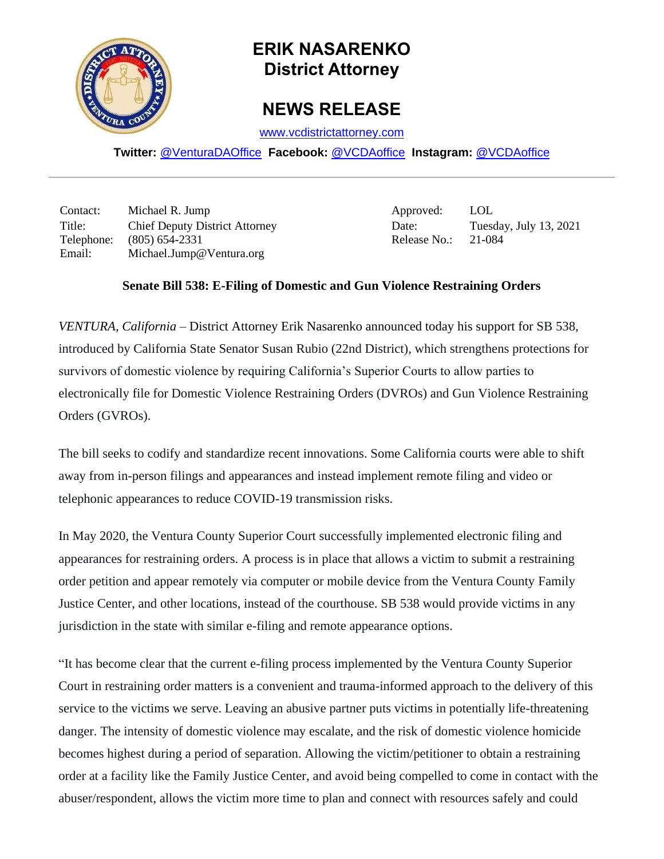

## **ERIK NASARENKO District Attorney**

## **NEWS RELEASE**

[www.vcdistrictattorney.com](http://www.vcdistrictattorney.com/)

**Twitter:** [@VenturaDAOffice](https://twitter.com/venturadaoffice) **Facebook:** [@VCDAoffice](https://facebook.com/VCDAoffice) **Instagram:** [@VCDAoffice](https://instagram.com/VCDAoffice)

Contact: Michael R. Jump Approved: LOL Title: Chief Deputy District Attorney Date: Tuesday, July 13, 2021 Telephone: (805) 654-2331 Release No.: 21-084 Email: Michael.Jump@Ventura.org

## **Senate Bill 538: E-Filing of Domestic and Gun Violence Restraining Orders**

*VENTURA, California* – District Attorney Erik Nasarenko announced today his support for SB 538, introduced by California State Senator Susan Rubio (22nd District), which strengthens protections for survivors of domestic violence by requiring California's Superior Courts to allow parties to electronically file for Domestic Violence Restraining Orders (DVROs) and Gun Violence Restraining Orders (GVROs).

The bill seeks to codify and standardize recent innovations. Some California courts were able to shift away from in-person filings and appearances and instead implement remote filing and video or telephonic appearances to reduce COVID-19 transmission risks.

In May 2020, the Ventura County Superior Court successfully implemented electronic filing and appearances for restraining orders. A process is in place that allows a victim to submit a restraining order petition and appear remotely via computer or mobile device from the Ventura County Family Justice Center, and other locations, instead of the courthouse. SB 538 would provide victims in any jurisdiction in the state with similar e-filing and remote appearance options.

"It has become clear that the current e-filing process implemented by the Ventura County Superior Court in restraining order matters is a convenient and trauma-informed approach to the delivery of this service to the victims we serve. Leaving an abusive partner puts victims in potentially life-threatening danger. The intensity of domestic violence may escalate, and the risk of domestic violence homicide becomes highest during a period of separation. Allowing the victim/petitioner to obtain a restraining order at a facility like the Family Justice Center, and avoid being compelled to come in contact with the abuser/respondent, allows the victim more time to plan and connect with resources safely and could